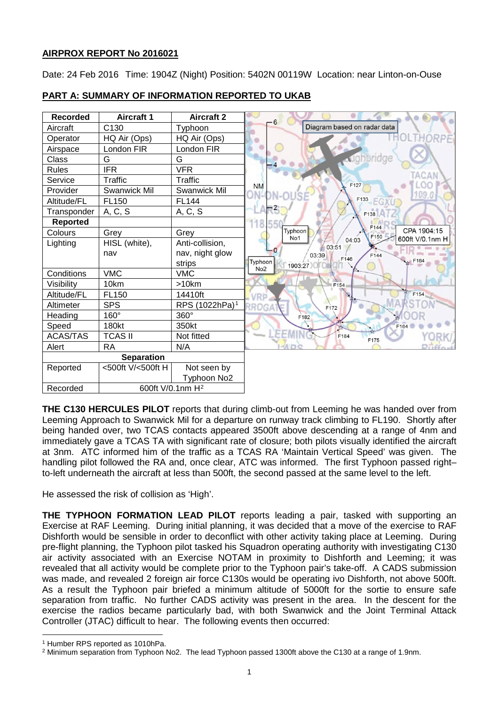# **AIRPROX REPORT No 2016021**

Date: 24 Feb 2016 Time: 1904Z (Night) Position: 5402N 00119W Location: near Linton-on-Ouse

| <b>Recorded</b>   | <b>Aircraft 1</b>            | <b>Aircraft 2</b>          | $-6$                                            |
|-------------------|------------------------------|----------------------------|-------------------------------------------------|
| Aircraft          | C130                         | Typhoon                    | Diagram based on radar data                     |
| Operator          | HQ Air (Ops)                 | HQ Air (Ops)               | HORPE                                           |
| Airspace          | London FIR                   | London FIR                 |                                                 |
| Class             | G                            | G                          | ughbridge                                       |
| <b>Rules</b>      | <b>IFR</b>                   | <b>VFR</b>                 |                                                 |
| Service           | Traffic                      | Traffic                    | CAN<br>F127                                     |
| Provider          | <b>Swanwick Mil</b>          | Swanwick Mil               | <b>NM</b><br>109.0                              |
| Altitude/FL       | FL150                        | <b>FL144</b>               | F133                                            |
| Transponder       | A, C, S                      | A, C, S                    | π3<br>F138                                      |
| <b>Reported</b>   |                              |                            | 118.550<br>F144                                 |
| Colours           | Grey                         | Grey                       | CPA 1904:15<br>Typhoon<br>F150<br>No1           |
| Lighting          | HISL (white),                | Anti-collision,            | 04:03<br>600ft V/0.1nm H<br>103:51              |
|                   | nav                          | nav, night glow            | - 0<br>F144<br>03:39<br>F146                    |
|                   |                              | strips                     | L F164<br>Typhoon<br>1903:27<br>No <sub>2</sub> |
| Conditions        | <b>VMC</b>                   | <b>VMC</b>                 |                                                 |
| Visibility        | 10km                         | $>10$ km                   | F154                                            |
| Altitude/FL       | FL150                        | 14410ft                    | F154<br>VRD                                     |
| Altimeter         | <b>SPS</b>                   | RPS (1022hPa) <sup>1</sup> | RROGA<br>F172                                   |
| Heading           | 160°                         | 360°                       | F182<br>$\frac{1}{2}$                           |
| Speed             | 180kt                        | 350kt                      | F164                                            |
| <b>ACAS/TAS</b>   | <b>TCAS II</b>               | Not fitted                 | EEM<br>F184<br>F175                             |
| Alert             | <b>RA</b>                    | N/A                        | <b>HAIDO</b>                                    |
| <b>Separation</b> |                              |                            |                                                 |
| Reported          | <500ft V/<500ft H            | Not seen by                |                                                 |
|                   |                              | Typhoon No2                |                                                 |
| Recorded          | 600ft V/0.1nm H <sup>2</sup> |                            |                                                 |

# **PART A: SUMMARY OF INFORMATION REPORTED TO UKAB**

**THE C130 HERCULES PILOT** reports that during climb-out from Leeming he was handed over from Leeming Approach to Swanwick Mil for a departure on runway track climbing to FL190. Shortly after being handed over, two TCAS contacts appeared 3500ft above descending at a range of 4nm and immediately gave a TCAS TA with significant rate of closure; both pilots visually identified the aircraft at 3nm. ATC informed him of the traffic as a TCAS RA 'Maintain Vertical Speed' was given. The handling pilot followed the RA and, once clear, ATC was informed. The first Typhoon passed right– to-left underneath the aircraft at less than 500ft, the second passed at the same level to the left.

He assessed the risk of collision as 'High'.

**THE TYPHOON FORMATION LEAD PILOT** reports leading a pair, tasked with supporting an Exercise at RAF Leeming. During initial planning, it was decided that a move of the exercise to RAF Dishforth would be sensible in order to deconflict with other activity taking place at Leeming. During pre-flight planning, the Typhoon pilot tasked his Squadron operating authority with investigating C130 air activity associated with an Exercise NOTAM in proximity to Dishforth and Leeming; it was revealed that all activity would be complete prior to the Typhoon pair's take-off. A CADS submission was made, and revealed 2 foreign air force C130s would be operating ivo Dishforth, not above 500ft. As a result the Typhoon pair briefed a minimum altitude of 5000ft for the sortie to ensure safe separation from traffic. No further CADS activity was present in the area. In the descent for the exercise the radios became particularly bad, with both Swanwick and the Joint Terminal Attack Controller (JTAC) difficult to hear. The following events then occurred:

l

<span id="page-0-0"></span><sup>1</sup> Humber RPS reported as 1010hPa.

<span id="page-0-1"></span><sup>2</sup> Minimum separation from Typhoon No2. The lead Typhoon passed 1300ft above the C130 at a range of 1.9nm.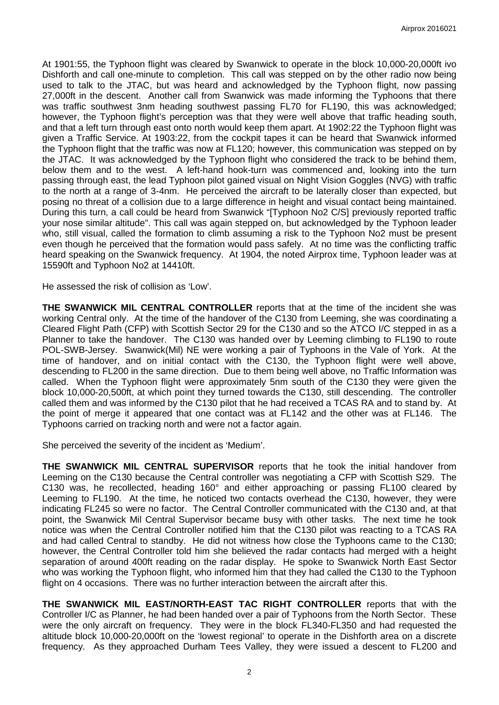At 1901:55, the Typhoon flight was cleared by Swanwick to operate in the block 10,000-20,000ft ivo Dishforth and call one-minute to completion. This call was stepped on by the other radio now being used to talk to the JTAC, but was heard and acknowledged by the Typhoon flight, now passing 27,000ft in the descent. Another call from Swanwick was made informing the Typhoons that there was traffic southwest 3nm heading southwest passing FL70 for FL190, this was acknowledged; however, the Typhoon flight's perception was that they were well above that traffic heading south, and that a left turn through east onto north would keep them apart. At 1902:22 the Typhoon flight was given a Traffic Service. At 1903:22, from the cockpit tapes it can be heard that Swanwick informed the Typhoon flight that the traffic was now at FL120; however, this communication was stepped on by the JTAC. It was acknowledged by the Typhoon flight who considered the track to be behind them, below them and to the west. A left-hand hook-turn was commenced and, looking into the turn passing through east, the lead Typhoon pilot gained visual on Night Vision Goggles (NVG) with traffic to the north at a range of 3-4nm. He perceived the aircraft to be laterally closer than expected, but posing no threat of a collision due to a large difference in height and visual contact being maintained. During this turn, a call could be heard from Swanwick "[Typhoon No2 C/S] previously reported traffic your nose similar altitude". This call was again stepped on, but acknowledged by the Typhoon leader who, still visual, called the formation to climb assuming a risk to the Typhoon No2 must be present even though he perceived that the formation would pass safely. At no time was the conflicting traffic heard speaking on the Swanwick frequency. At 1904, the noted Airprox time, Typhoon leader was at 15590ft and Typhoon No2 at 14410ft.

He assessed the risk of collision as 'Low'.

**THE SWANWICK MIL CENTRAL CONTROLLER** reports that at the time of the incident she was working Central only. At the time of the handover of the C130 from Leeming, she was coordinating a Cleared Flight Path (CFP) with Scottish Sector 29 for the C130 and so the ATCO I/C stepped in as a Planner to take the handover. The C130 was handed over by Leeming climbing to FL190 to route POL-SWB-Jersey. Swanwick(Mil) NE were working a pair of Typhoons in the Vale of York. At the time of handover, and on initial contact with the C130, the Typhoon flight were well above, descending to FL200 in the same direction. Due to them being well above, no Traffic Information was called. When the Typhoon flight were approximately 5nm south of the C130 they were given the block 10,000-20,500ft, at which point they turned towards the C130, still descending. The controller called them and was informed by the C130 pilot that he had received a TCAS RA and to stand by. At the point of merge it appeared that one contact was at FL142 and the other was at FL146. The Typhoons carried on tracking north and were not a factor again.

She perceived the severity of the incident as 'Medium'.

**THE SWANWICK MIL CENTRAL SUPERVISOR** reports that he took the initial handover from Leeming on the C130 because the Central controller was negotiating a CFP with Scottish S29. The C130 was, he recollected, heading 160° and either approaching or passing FL100 cleared by Leeming to FL190. At the time, he noticed two contacts overhead the C130, however, they were indicating FL245 so were no factor. The Central Controller communicated with the C130 and, at that point, the Swanwick Mil Central Supervisor became busy with other tasks. The next time he took notice was when the Central Controller notified him that the C130 pilot was reacting to a TCAS RA and had called Central to standby. He did not witness how close the Typhoons came to the C130; however, the Central Controller told him she believed the radar contacts had merged with a height separation of around 400ft reading on the radar display. He spoke to Swanwick North East Sector who was working the Typhoon flight, who informed him that they had called the C130 to the Typhoon flight on 4 occasions. There was no further interaction between the aircraft after this.

**THE SWANWICK MIL EAST/NORTH-EAST TAC RIGHT CONTROLLER** reports that with the Controller I/C as Planner, he had been handed over a pair of Typhoons from the North Sector. These were the only aircraft on frequency. They were in the block FL340-FL350 and had requested the altitude block 10,000-20,000ft on the 'lowest regional' to operate in the Dishforth area on a discrete frequency. As they approached Durham Tees Valley, they were issued a descent to FL200 and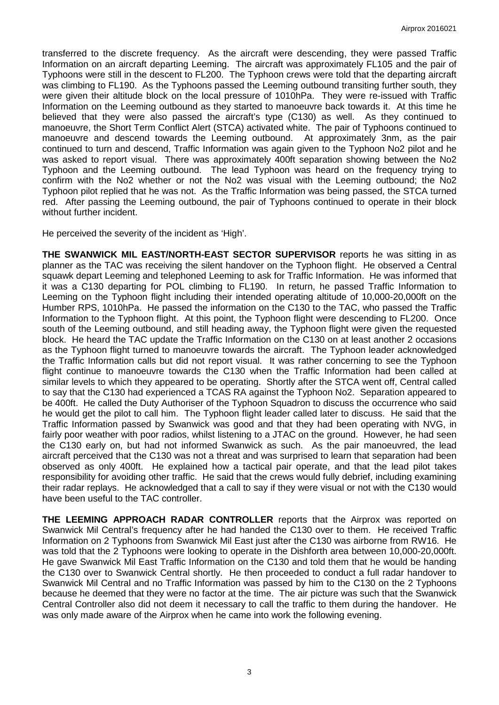transferred to the discrete frequency. As the aircraft were descending, they were passed Traffic Information on an aircraft departing Leeming. The aircraft was approximately FL105 and the pair of Typhoons were still in the descent to FL200. The Typhoon crews were told that the departing aircraft was climbing to FL190. As the Typhoons passed the Leeming outbound transiting further south, they were given their altitude block on the local pressure of 1010hPa. They were re-issued with Traffic Information on the Leeming outbound as they started to manoeuvre back towards it. At this time he believed that they were also passed the aircraft's type (C130) as well. As they continued to manoeuvre, the Short Term Conflict Alert (STCA) activated white. The pair of Typhoons continued to manoeuvre and descend towards the Leeming outbound. At approximately 3nm, as the pair continued to turn and descend, Traffic Information was again given to the Typhoon No2 pilot and he was asked to report visual. There was approximately 400ft separation showing between the No2 Typhoon and the Leeming outbound. The lead Typhoon was heard on the frequency trying to confirm with the No2 whether or not the No2 was visual with the Leeming outbound; the No2 Typhoon pilot replied that he was not. As the Traffic Information was being passed, the STCA turned red. After passing the Leeming outbound, the pair of Typhoons continued to operate in their block without further incident.

He perceived the severity of the incident as 'High'.

**THE SWANWICK MIL EAST/NORTH-EAST SECTOR SUPERVISOR** reports he was sitting in as planner as the TAC was receiving the silent handover on the Typhoon flight. He observed a Central squawk depart Leeming and telephoned Leeming to ask for Traffic Information. He was informed that it was a C130 departing for POL climbing to FL190. In return, he passed Traffic Information to Leeming on the Typhoon flight including their intended operating altitude of 10,000-20,000ft on the Humber RPS, 1010hPa. He passed the information on the C130 to the TAC, who passed the Traffic Information to the Typhoon flight. At this point, the Typhoon flight were descending to FL200. Once south of the Leeming outbound, and still heading away, the Typhoon flight were given the requested block. He heard the TAC update the Traffic Information on the C130 on at least another 2 occasions as the Typhoon flight turned to manoeuvre towards the aircraft. The Typhoon leader acknowledged the Traffic Information calls but did not report visual. It was rather concerning to see the Typhoon flight continue to manoeuvre towards the C130 when the Traffic Information had been called at similar levels to which they appeared to be operating. Shortly after the STCA went off, Central called to say that the C130 had experienced a TCAS RA against the Typhoon No2. Separation appeared to be 400ft. He called the Duty Authoriser of the Typhoon Squadron to discuss the occurrence who said he would get the pilot to call him. The Typhoon flight leader called later to discuss. He said that the Traffic Information passed by Swanwick was good and that they had been operating with NVG, in fairly poor weather with poor radios, whilst listening to a JTAC on the ground. However, he had seen the C130 early on, but had not informed Swanwick as such. As the pair manoeuvred, the lead aircraft perceived that the C130 was not a threat and was surprised to learn that separation had been observed as only 400ft. He explained how a tactical pair operate, and that the lead pilot takes responsibility for avoiding other traffic. He said that the crews would fully debrief, including examining their radar replays. He acknowledged that a call to say if they were visual or not with the C130 would have been useful to the TAC controller.

**THE LEEMING APPROACH RADAR CONTROLLER** reports that the Airprox was reported on Swanwick Mil Central's frequency after he had handed the C130 over to them. He received Traffic Information on 2 Typhoons from Swanwick Mil East just after the C130 was airborne from RW16. He was told that the 2 Typhoons were looking to operate in the Dishforth area between 10,000-20,000ft. He gave Swanwick Mil East Traffic Information on the C130 and told them that he would be handing the C130 over to Swanwick Central shortly. He then proceeded to conduct a full radar handover to Swanwick Mil Central and no Traffic Information was passed by him to the C130 on the 2 Typhoons because he deemed that they were no factor at the time. The air picture was such that the Swanwick Central Controller also did not deem it necessary to call the traffic to them during the handover. He was only made aware of the Airprox when he came into work the following evening.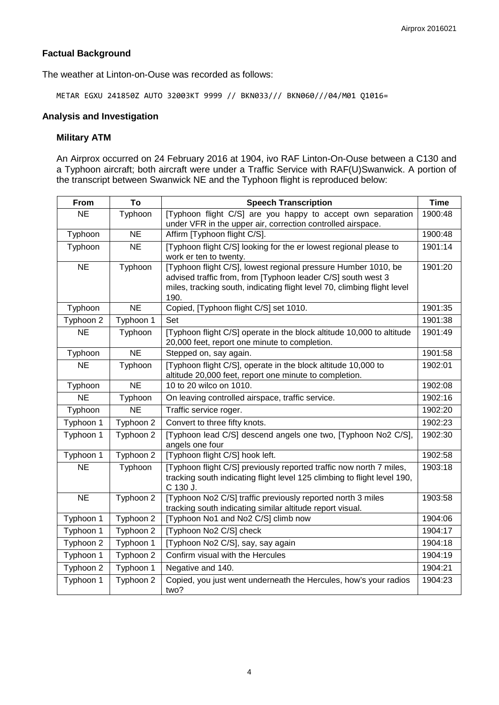# **Factual Background**

The weather at Linton-on-Ouse was recorded as follows:

METAR EGXU 241850Z AUTO 32003KT 9999 // BKN033/// BKN060///04/M01 Q1016=

## **Analysis and Investigation**

### **Military ATM**

An Airprox occurred on 24 February 2016 at 1904, ivo RAF Linton-On-Ouse between a C130 and a Typhoon aircraft; both aircraft were under a Traffic Service with RAF(U)Swanwick. A portion of the transcript between Swanwick NE and the Typhoon flight is reproduced below:

| From      | To        | <b>Speech Transcription</b>                                                                                                                                                                                        | <b>Time</b> |
|-----------|-----------|--------------------------------------------------------------------------------------------------------------------------------------------------------------------------------------------------------------------|-------------|
| <b>NE</b> | Typhoon   | [Typhoon flight C/S] are you happy to accept own separation<br>under VFR in the upper air, correction controlled airspace.                                                                                         | 1900:48     |
| Typhoon   | <b>NE</b> | Affirm [Typhoon flight C/S].                                                                                                                                                                                       | 1900:48     |
| Typhoon   | <b>NE</b> | [Typhoon flight C/S] looking for the er lowest regional please to<br>work er ten to twenty.                                                                                                                        | 1901:14     |
| <b>NE</b> | Typhoon   | [Typhoon flight C/S], lowest regional pressure Humber 1010, be<br>advised traffic from, from [Typhoon leader C/S] south west 3<br>miles, tracking south, indicating flight level 70, climbing flight level<br>190. | 1901:20     |
| Typhoon   | <b>NE</b> | Copied, [Typhoon flight C/S] set 1010.                                                                                                                                                                             | 1901:35     |
| Typhoon 2 | Typhoon 1 | Set                                                                                                                                                                                                                | 1901:38     |
| <b>NE</b> | Typhoon   | [Typhoon flight C/S] operate in the block altitude 10,000 to altitude<br>20,000 feet, report one minute to completion.                                                                                             | 1901:49     |
| Typhoon   | <b>NE</b> | Stepped on, say again.                                                                                                                                                                                             | 1901:58     |
| <b>NE</b> | Typhoon   | [Typhoon flight C/S], operate in the block altitude 10,000 to<br>altitude 20,000 feet, report one minute to completion.                                                                                            | 1902:01     |
| Typhoon   | <b>NE</b> | 10 to 20 wilco on 1010.                                                                                                                                                                                            | 1902:08     |
| <b>NE</b> | Typhoon   | On leaving controlled airspace, traffic service.                                                                                                                                                                   | 1902:16     |
| Typhoon   | <b>NE</b> | Traffic service roger.                                                                                                                                                                                             | 1902:20     |
| Typhoon 1 | Typhoon 2 | Convert to three fifty knots.                                                                                                                                                                                      | 1902:23     |
| Typhoon 1 | Typhoon 2 | [Typhoon lead C/S] descend angels one two, [Typhoon No2 C/S],<br>angels one four                                                                                                                                   | 1902:30     |
| Typhoon 1 | Typhoon 2 | [Typhoon flight C/S] hook left.                                                                                                                                                                                    | 1902:58     |
| <b>NE</b> | Typhoon   | [Typhoon flight C/S] previously reported traffic now north 7 miles,<br>tracking south indicating flight level 125 climbing to flight level 190,<br>C 130 J.                                                        | 1903:18     |
| <b>NE</b> | Typhoon 2 | [Typhoon No2 C/S] traffic previously reported north 3 miles<br>tracking south indicating similar altitude report visual.                                                                                           | 1903:58     |
| Typhoon 1 | Typhoon 2 | [Typhoon No1 and No2 C/S] climb now                                                                                                                                                                                | 1904:06     |
| Typhoon 1 | Typhoon 2 | [Typhoon No2 C/S] check                                                                                                                                                                                            | 1904:17     |
| Typhoon 2 | Typhoon 1 | [Typhoon No2 C/S], say, say again                                                                                                                                                                                  | 1904:18     |
| Typhoon 1 | Typhoon 2 | Confirm visual with the Hercules                                                                                                                                                                                   | 1904:19     |
| Typhoon 2 | Typhoon 1 | Negative and 140.                                                                                                                                                                                                  | 1904:21     |
| Typhoon 1 | Typhoon 2 | Copied, you just went underneath the Hercules, how's your radios<br>two?                                                                                                                                           | 1904:23     |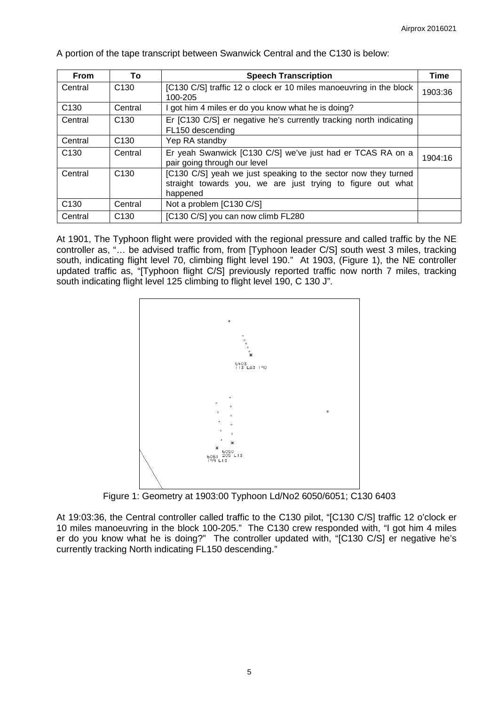| <b>From</b>      | To               | <b>Speech Transcription</b>                                                                                                               | <b>Time</b> |
|------------------|------------------|-------------------------------------------------------------------------------------------------------------------------------------------|-------------|
| Central          | C <sub>130</sub> | [C130 C/S] traffic 12 o clock er 10 miles manoeuvring in the block<br>100-205                                                             | 1903:36     |
| C <sub>130</sub> | Central          | got him 4 miles er do you know what he is doing?                                                                                          |             |
| Central          | C <sub>130</sub> | Er [C130 C/S] er negative he's currently tracking north indicating<br>FL150 descending                                                    |             |
| Central          | C <sub>130</sub> | Yep RA standby                                                                                                                            |             |
| C <sub>130</sub> | Central          | Er yeah Swanwick [C130 C/S] we've just had er TCAS RA on a<br>pair going through our level                                                | 1904:16     |
| Central          | C <sub>130</sub> | [C130 C/S] yeah we just speaking to the sector now they turned<br>straight towards you, we are just trying to figure out what<br>happened |             |
| C <sub>130</sub> | Central          | Not a problem [C130 C/S]                                                                                                                  |             |
| Central          | C <sub>130</sub> | [C130 C/S] you can now climb FL280                                                                                                        |             |

A portion of the tape transcript between Swanwick Central and the C130 is below:

At 1901, The Typhoon flight were provided with the regional pressure and called traffic by the NE controller as, "… be advised traffic from, from [Typhoon leader C/S] south west 3 miles, tracking south, indicating flight level 70, climbing flight level 190." At 1903, (Figure 1), the NE controller updated traffic as, "[Typhoon flight C/S] previously reported traffic now north 7 miles, tracking south indicating flight level 125 climbing to flight level 190, C 130 J".



Figure 1: Geometry at 1903:00 Typhoon Ld/No2 6050/6051; C130 6403

At 19:03:36, the Central controller called traffic to the C130 pilot, "[C130 C/S] traffic 12 o'clock er 10 miles manoeuvring in the block 100-205." The C130 crew responded with, "I got him 4 miles er do you know what he is doing?" The controller updated with, "[C130 C/S] er negative he's currently tracking North indicating FL150 descending."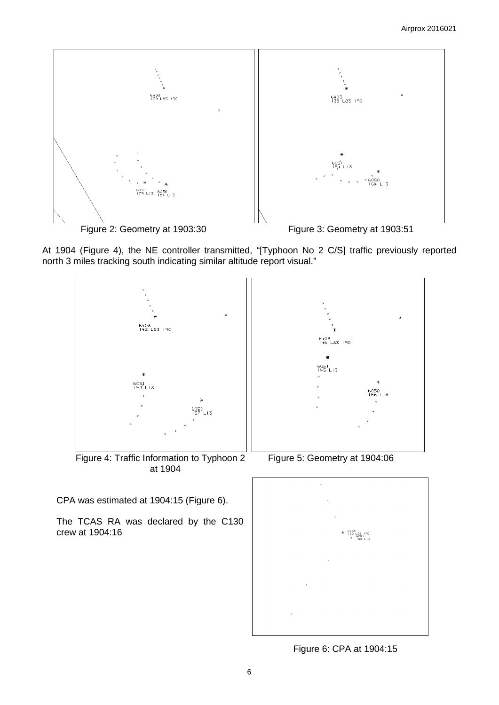



At 1904 (Figure 4), the NE controller transmitted, "[Typhoon No 2 C/S] traffic previously reported north 3 miles tracking south indicating similar altitude report visual."



Figure 6: CPA at 1904:15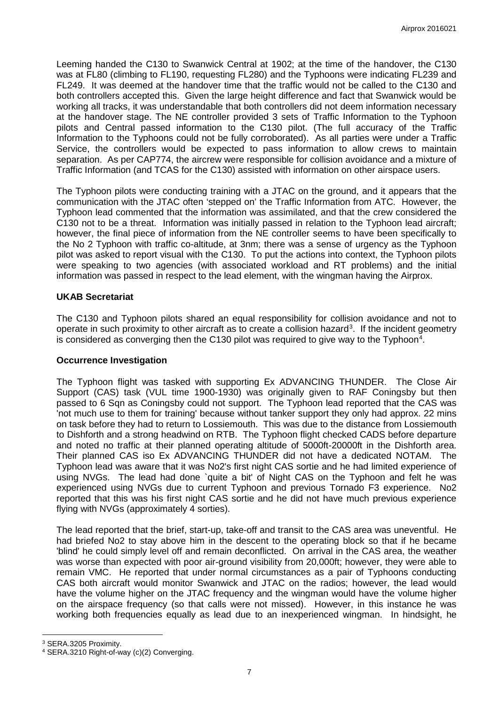Leeming handed the C130 to Swanwick Central at 1902; at the time of the handover, the C130 was at FL80 (climbing to FL190, requesting FL280) and the Typhoons were indicating FL239 and FL249. It was deemed at the handover time that the traffic would not be called to the C130 and both controllers accepted this. Given the large height difference and fact that Swanwick would be working all tracks, it was understandable that both controllers did not deem information necessary at the handover stage. The NE controller provided 3 sets of Traffic Information to the Typhoon pilots and Central passed information to the C130 pilot. (The full accuracy of the Traffic Information to the Typhoons could not be fully corroborated). As all parties were under a Traffic Service, the controllers would be expected to pass information to allow crews to maintain separation. As per CAP774, the aircrew were responsible for collision avoidance and a mixture of Traffic Information (and TCAS for the C130) assisted with information on other airspace users.

The Typhoon pilots were conducting training with a JTAC on the ground, and it appears that the communication with the JTAC often 'stepped on' the Traffic Information from ATC. However, the Typhoon lead commented that the information was assimilated, and that the crew considered the C130 not to be a threat. Information was initially passed in relation to the Typhoon lead aircraft; however, the final piece of information from the NE controller seems to have been specifically to the No 2 Typhoon with traffic co-altitude, at 3nm; there was a sense of urgency as the Typhoon pilot was asked to report visual with the C130. To put the actions into context, the Typhoon pilots were speaking to two agencies (with associated workload and RT problems) and the initial information was passed in respect to the lead element, with the wingman having the Airprox.

### **UKAB Secretariat**

The C130 and Typhoon pilots shared an equal responsibility for collision avoidance and not to operate in such proximity to other aircraft as to create a collision hazard<sup>[3](#page-6-0)</sup>. If the incident geometry is considered as converging then the C130 pilot was required to give way to the Typhoon<sup>[4](#page-6-1)</sup>.

#### **Occurrence Investigation**

The Typhoon flight was tasked with supporting Ex ADVANCING THUNDER. The Close Air Support (CAS) task (VUL time 1900-1930) was originally given to RAF Coningsby but then passed to 6 Sqn as Coningsby could not support. The Typhoon lead reported that the CAS was 'not much use to them for training' because without tanker support they only had approx. 22 mins on task before they had to return to Lossiemouth. This was due to the distance from Lossiemouth to Dishforth and a strong headwind on RTB. The Typhoon flight checked CADS before departure and noted no traffic at their planned operating altitude of 5000ft-20000ft in the Dishforth area. Their planned CAS iso Ex ADVANCING THUNDER did not have a dedicated NOTAM. The Typhoon lead was aware that it was No2's first night CAS sortie and he had limited experience of using NVGs. The lead had done `quite a bit' of Night CAS on the Typhoon and felt he was experienced using NVGs due to current Typhoon and previous Tornado F3 experience. No2 reported that this was his first night CAS sortie and he did not have much previous experience flying with NVGs (approximately 4 sorties).

The lead reported that the brief, start-up, take-off and transit to the CAS area was uneventful. He had briefed No2 to stay above him in the descent to the operating block so that if he became 'blind' he could simply level off and remain deconflicted. On arrival in the CAS area, the weather was worse than expected with poor air-ground visibility from 20,000ft; however, they were able to remain VMC. He reported that under normal circumstances as a pair of Typhoons conducting CAS both aircraft would monitor Swanwick and JTAC on the radios; however, the lead would have the volume higher on the JTAC frequency and the wingman would have the volume higher on the airspace frequency (so that calls were not missed). However, in this instance he was working both frequencies equally as lead due to an inexperienced wingman. In hindsight, he

l

<span id="page-6-0"></span><sup>3</sup> SERA.3205 Proximity.

<span id="page-6-1"></span><sup>4</sup> SERA.3210 Right-of-way (c)(2) Converging.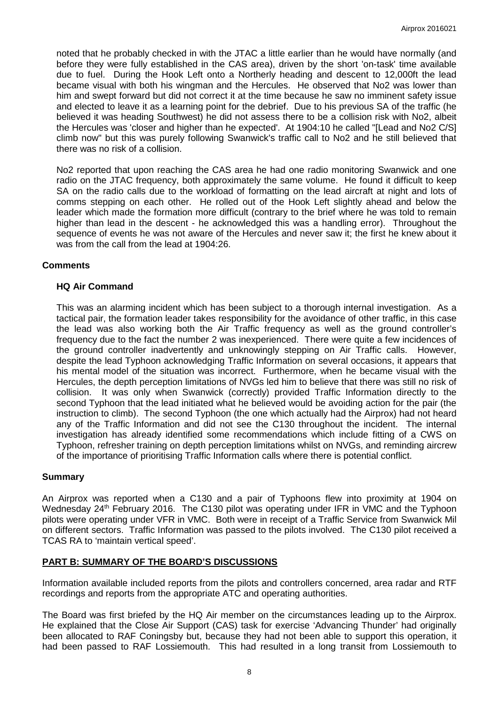noted that he probably checked in with the JTAC a little earlier than he would have normally (and before they were fully established in the CAS area), driven by the short 'on-task' time available due to fuel. During the Hook Left onto a Northerly heading and descent to 12,000ft the lead became visual with both his wingman and the Hercules. He observed that No2 was lower than him and swept forward but did not correct it at the time because he saw no imminent safety issue and elected to leave it as a learning point for the debrief. Due to his previous SA of the traffic (he believed it was heading Southwest) he did not assess there to be a collision risk with No2, albeit the Hercules was 'closer and higher than he expected'. At 1904:10 he called "[Lead and No2 C/S] climb now" but this was purely following Swanwick's traffic call to No2 and he still believed that there was no risk of a collision.

No2 reported that upon reaching the CAS area he had one radio monitoring Swanwick and one radio on the JTAC frequency, both approximately the same volume. He found it difficult to keep SA on the radio calls due to the workload of formatting on the lead aircraft at night and lots of comms stepping on each other. He rolled out of the Hook Left slightly ahead and below the leader which made the formation more difficult (contrary to the brief where he was told to remain higher than lead in the descent - he acknowledged this was a handling error). Throughout the sequence of events he was not aware of the Hercules and never saw it; the first he knew about it was from the call from the lead at 1904:26.

### **Comments**

#### **HQ Air Command**

This was an alarming incident which has been subject to a thorough internal investigation. As a tactical pair, the formation leader takes responsibility for the avoidance of other traffic, in this case the lead was also working both the Air Traffic frequency as well as the ground controller's frequency due to the fact the number 2 was inexperienced. There were quite a few incidences of the ground controller inadvertently and unknowingly stepping on Air Traffic calls. However, despite the lead Typhoon acknowledging Traffic Information on several occasions, it appears that his mental model of the situation was incorrect. Furthermore, when he became visual with the Hercules, the depth perception limitations of NVGs led him to believe that there was still no risk of collision. It was only when Swanwick (correctly) provided Traffic Information directly to the second Typhoon that the lead initiated what he believed would be avoiding action for the pair (the instruction to climb). The second Typhoon (the one which actually had the Airprox) had not heard any of the Traffic Information and did not see the C130 throughout the incident. The internal investigation has already identified some recommendations which include fitting of a CWS on Typhoon, refresher training on depth perception limitations whilst on NVGs, and reminding aircrew of the importance of prioritising Traffic Information calls where there is potential conflict.

#### **Summary**

An Airprox was reported when a C130 and a pair of Typhoons flew into proximity at 1904 on Wednesday 24<sup>th</sup> February 2016. The C130 pilot was operating under IFR in VMC and the Typhoon pilots were operating under VFR in VMC. Both were in receipt of a Traffic Service from Swanwick Mil on different sectors. Traffic Information was passed to the pilots involved. The C130 pilot received a TCAS RA to 'maintain vertical speed'.

## **PART B: SUMMARY OF THE BOARD'S DISCUSSIONS**

Information available included reports from the pilots and controllers concerned, area radar and RTF recordings and reports from the appropriate ATC and operating authorities.

The Board was first briefed by the HQ Air member on the circumstances leading up to the Airprox. He explained that the Close Air Support (CAS) task for exercise 'Advancing Thunder' had originally been allocated to RAF Coningsby but, because they had not been able to support this operation, it had been passed to RAF Lossiemouth. This had resulted in a long transit from Lossiemouth to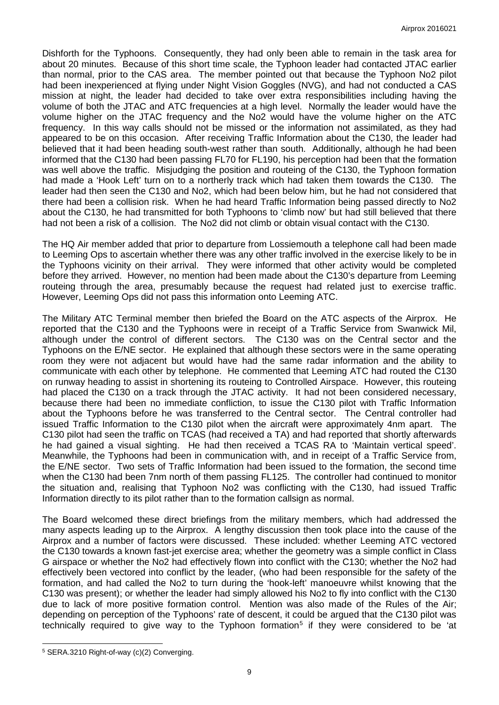Dishforth for the Typhoons. Consequently, they had only been able to remain in the task area for about 20 minutes. Because of this short time scale, the Typhoon leader had contacted JTAC earlier than normal, prior to the CAS area. The member pointed out that because the Typhoon No2 pilot had been inexperienced at flying under Night Vision Goggles (NVG), and had not conducted a CAS mission at night, the leader had decided to take over extra responsibilities including having the volume of both the JTAC and ATC frequencies at a high level. Normally the leader would have the volume higher on the JTAC frequency and the No2 would have the volume higher on the ATC frequency. In this way calls should not be missed or the information not assimilated, as they had appeared to be on this occasion. After receiving Traffic Information about the C130, the leader had believed that it had been heading south-west rather than south. Additionally, although he had been informed that the C130 had been passing FL70 for FL190, his perception had been that the formation was well above the traffic. Misjudging the position and routeing of the C130, the Typhoon formation had made a 'Hook Left' turn on to a northerly track which had taken them towards the C130. The leader had then seen the C130 and No2, which had been below him, but he had not considered that there had been a collision risk. When he had heard Traffic Information being passed directly to No2 about the C130, he had transmitted for both Typhoons to 'climb now' but had still believed that there had not been a risk of a collision. The No2 did not climb or obtain visual contact with the C130.

The HQ Air member added that prior to departure from Lossiemouth a telephone call had been made to Leeming Ops to ascertain whether there was any other traffic involved in the exercise likely to be in the Typhoons vicinity on their arrival. They were informed that other activity would be completed before they arrived. However, no mention had been made about the C130's departure from Leeming routeing through the area, presumably because the request had related just to exercise traffic. However, Leeming Ops did not pass this information onto Leeming ATC.

The Military ATC Terminal member then briefed the Board on the ATC aspects of the Airprox. He reported that the C130 and the Typhoons were in receipt of a Traffic Service from Swanwick Mil, although under the control of different sectors. The C130 was on the Central sector and the Typhoons on the E/NE sector. He explained that although these sectors were in the same operating room they were not adjacent but would have had the same radar information and the ability to communicate with each other by telephone. He commented that Leeming ATC had routed the C130 on runway heading to assist in shortening its routeing to Controlled Airspace. However, this routeing had placed the C130 on a track through the JTAC activity. It had not been considered necessary, because there had been no immediate confliction, to issue the C130 pilot with Traffic Information about the Typhoons before he was transferred to the Central sector. The Central controller had issued Traffic Information to the C130 pilot when the aircraft were approximately 4nm apart. The C130 pilot had seen the traffic on TCAS (had received a TA) and had reported that shortly afterwards he had gained a visual sighting. He had then received a TCAS RA to 'Maintain vertical speed'. Meanwhile, the Typhoons had been in communication with, and in receipt of a Traffic Service from, the E/NE sector. Two sets of Traffic Information had been issued to the formation, the second time when the C130 had been 7nm north of them passing FL125. The controller had continued to monitor the situation and, realising that Typhoon No2 was conflicting with the C130, had issued Traffic Information directly to its pilot rather than to the formation callsign as normal.

The Board welcomed these direct briefings from the military members, which had addressed the many aspects leading up to the Airprox. A lengthy discussion then took place into the cause of the Airprox and a number of factors were discussed. These included: whether Leeming ATC vectored the C130 towards a known fast-jet exercise area; whether the geometry was a simple conflict in Class G airspace or whether the No2 had effectively flown into conflict with the C130; whether the No2 had effectively been vectored into conflict by the leader, (who had been responsible for the safety of the formation, and had called the No2 to turn during the 'hook-left' manoeuvre whilst knowing that the C130 was present); or whether the leader had simply allowed his No2 to fly into conflict with the C130 due to lack of more positive formation control. Mention was also made of the Rules of the Air; depending on perception of the Typhoons' rate of descent, it could be argued that the C130 pilot was technically required to give way to the Typhoon formation<sup>[5](#page-8-0)</sup> if they were considered to be 'at

 $\overline{\phantom{a}}$ 

<span id="page-8-0"></span><sup>5</sup> SERA.3210 Right-of-way (c)(2) Converging.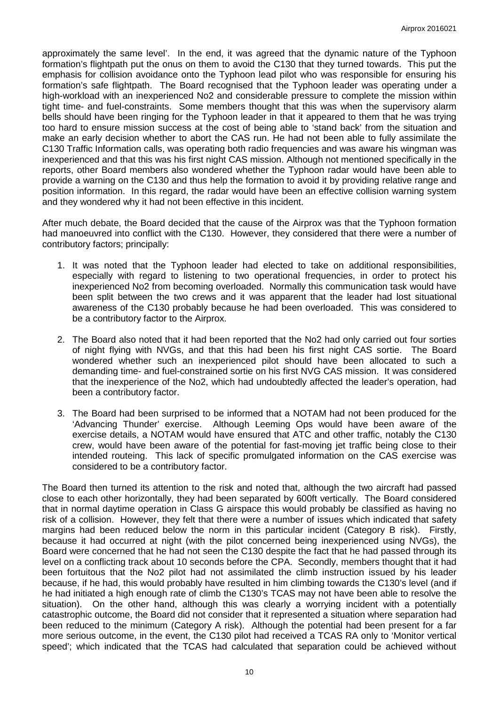approximately the same level'. In the end, it was agreed that the dynamic nature of the Typhoon formation's flightpath put the onus on them to avoid the C130 that they turned towards. This put the emphasis for collision avoidance onto the Typhoon lead pilot who was responsible for ensuring his formation's safe flightpath. The Board recognised that the Typhoon leader was operating under a high-workload with an inexperienced No2 and considerable pressure to complete the mission within tight time- and fuel-constraints. Some members thought that this was when the supervisory alarm bells should have been ringing for the Typhoon leader in that it appeared to them that he was trying too hard to ensure mission success at the cost of being able to 'stand back' from the situation and make an early decision whether to abort the CAS run. He had not been able to fully assimilate the C130 Traffic Information calls, was operating both radio frequencies and was aware his wingman was inexperienced and that this was his first night CAS mission. Although not mentioned specifically in the reports, other Board members also wondered whether the Typhoon radar would have been able to provide a warning on the C130 and thus help the formation to avoid it by providing relative range and position information. In this regard, the radar would have been an effective collision warning system and they wondered why it had not been effective in this incident.

After much debate, the Board decided that the cause of the Airprox was that the Typhoon formation had manoeuvred into conflict with the C130. However, they considered that there were a number of contributory factors; principally:

- 1. It was noted that the Typhoon leader had elected to take on additional responsibilities, especially with regard to listening to two operational frequencies, in order to protect his inexperienced No2 from becoming overloaded. Normally this communication task would have been split between the two crews and it was apparent that the leader had lost situational awareness of the C130 probably because he had been overloaded. This was considered to be a contributory factor to the Airprox.
- 2. The Board also noted that it had been reported that the No2 had only carried out four sorties of night flying with NVGs, and that this had been his first night CAS sortie. The Board wondered whether such an inexperienced pilot should have been allocated to such a demanding time- and fuel-constrained sortie on his first NVG CAS mission. It was considered that the inexperience of the No2, which had undoubtedly affected the leader's operation, had been a contributory factor.
- 3. The Board had been surprised to be informed that a NOTAM had not been produced for the 'Advancing Thunder' exercise. Although Leeming Ops would have been aware of the exercise details, a NOTAM would have ensured that ATC and other traffic, notably the C130 crew, would have been aware of the potential for fast-moving jet traffic being close to their intended routeing. This lack of specific promulgated information on the CAS exercise was considered to be a contributory factor.

The Board then turned its attention to the risk and noted that, although the two aircraft had passed close to each other horizontally, they had been separated by 600ft vertically. The Board considered that in normal daytime operation in Class G airspace this would probably be classified as having no risk of a collision. However, they felt that there were a number of issues which indicated that safety margins had been reduced below the norm in this particular incident (Category B risk). Firstly, because it had occurred at night (with the pilot concerned being inexperienced using NVGs), the Board were concerned that he had not seen the C130 despite the fact that he had passed through its level on a conflicting track about 10 seconds before the CPA. Secondly, members thought that it had been fortuitous that the No2 pilot had not assimilated the climb instruction issued by his leader because, if he had, this would probably have resulted in him climbing towards the C130's level (and if he had initiated a high enough rate of climb the C130's TCAS may not have been able to resolve the situation). On the other hand, although this was clearly a worrying incident with a potentially catastrophic outcome, the Board did not consider that it represented a situation where separation had been reduced to the minimum (Category A risk). Although the potential had been present for a far more serious outcome, in the event, the C130 pilot had received a TCAS RA only to 'Monitor vertical speed'; which indicated that the TCAS had calculated that separation could be achieved without